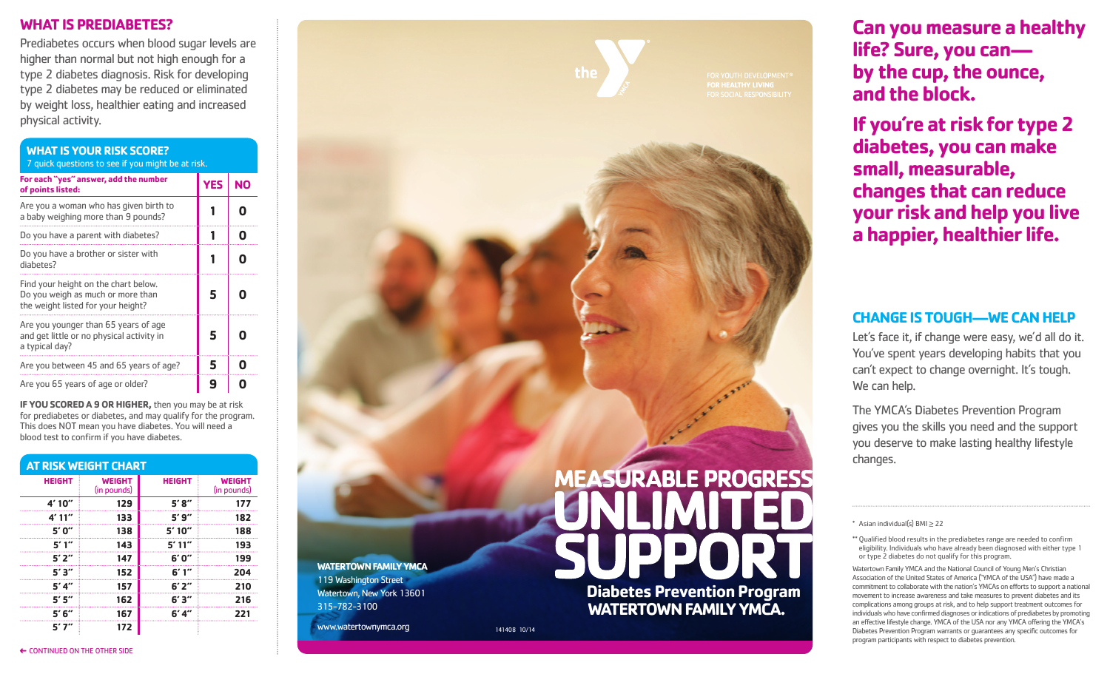### **WHAT IS PREDIABETES?**

Prediabetes occurs when blood sugar levels are higher than normal but not high enough for a type 2 diabetes diagnosis. Risk for developing type 2 diabetes may be reduced or eliminated by weight loss, healthier eating and increased physical activity.

| <b>WHAT IS YOUR RISK SCORE?</b><br>7 quick questions to see if you might be at risk.                            |            |           |  |  |
|-----------------------------------------------------------------------------------------------------------------|------------|-----------|--|--|
| For each "yes" answer, add the number<br>of points listed:                                                      | <b>YES</b> | <b>NO</b> |  |  |
| Are you a woman who has given birth to<br>a baby weighing more than 9 pounds?                                   |            |           |  |  |
| Do you have a parent with diabetes?                                                                             |            |           |  |  |
| Do you have a brother or sister with<br>diabetes?                                                               |            |           |  |  |
| Find your height on the chart below.<br>Do you weigh as much or more than<br>the weight listed for your height? | 5          |           |  |  |
| Are you younger than 65 years of age<br>and get little or no physical activity in<br>a typical day?             | 5          |           |  |  |
| Are you between 45 and 65 years of age?                                                                         | 5          |           |  |  |
| Are you 65 years of age or older?                                                                               | 9          |           |  |  |

**IF YOU SCORED A 9 OR HIGHER,** then you may be at risk for prediabetes or diabetes, and may qualify for the program. This does NOT mean you have diabetes. You will need a blood test to confirm if you have diabetes.

| AT RISK WEIGHT CHART |                              |               |                              |  |
|----------------------|------------------------------|---------------|------------------------------|--|
| <b>HEIGHT</b>        | <b>WEIGHT</b><br>(in pounds) | <b>HEIGHT</b> | <b>WEIGHT</b><br>(in pounds) |  |
| 4'10''               | 129                          | 5'8''         | 177                          |  |
| 4'11''               | 133                          | 5'9''         | 182                          |  |
| 5'0''                | 138                          | 5'10''        | 188                          |  |
| 5'1''                | 143                          | 5'11''        | 193                          |  |
| 5'2''                | 147                          | 6'0''         | 199                          |  |
| 5'3''                | 152                          | 6'1''         | 204                          |  |
| 5'4''                | 157                          | 6'2''         | 210                          |  |
| 5'5''                | 162                          | 6'3''         | 216                          |  |
| 5'6''                | 167                          | 6' 4''        | 221                          |  |
| 517"                 | 172                          |               |                              |  |



# **Can you measure a healthy life? Sure, you can by the cup, the ounce, and the block.**

**If you're at risk for type 2 diabetes, you can make small, measurable, changes that can reduce your risk and help you live a happier, healthier life.**

## **CHANGE IS TOUGH—WE CAN HELP**

Let's face it, if change were easy, we'd all do it. You've spent years developing habits that you can't expect to change overnight. It's tough. We can help.

The YMCA's Diabetes Prevention Program gives you the skills you need and the support you deserve to make lasting healthy lifestyle changes.

\*\* Oualified blood results in the prediabetes range are needed to confirm eligibility. Individuals who have already been diagnosed with either type 1 or type 2 diabetes do not qualify for this program.

Watertown Family YMCA and the National Council of Young Men's Christian Association of the United States of America ("YMCA of the USA") have made a commitment to collaborate with the nation's YMCAs on efforts to support a national movement to increase awareness and take measures to prevent diabetes and its complications among groups at risk, and to help support treatment outcomes for individuals who have confirmed diagnoses or indications of prediabetes by promoting an effective lifestyle change. YMCA of the USA nor any YMCA offering the YMCA's Diabetes Prevention Program warrants or guarantees any specific outcomes for program participants with respect to diabetes prevention.

← CONTINUED ON THE OTHER SIDE

<sup>\*</sup> Asian individual(s) BMI ≥ 22